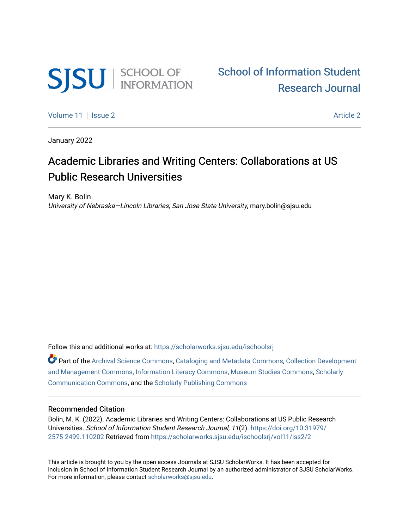

[Volume 11](https://scholarworks.sjsu.edu/ischoolsrj/vol11) | [Issue 2](https://scholarworks.sjsu.edu/ischoolsrj/vol11/iss2) [Article 2](https://scholarworks.sjsu.edu/ischoolsrj/vol11/iss2/2) Article 2 Article 2 Article 2 Article 2 Article 2 Article 2 Article 2 Article 2

January 2022

# Academic Libraries and Writing Centers: Collaborations at US Public Research Universities

Mary K. Bolin University of Nebraska—Lincoln Libraries; San Jose State University, mary.bolin@sjsu.edu

Follow this and additional works at: [https://scholarworks.sjsu.edu/ischoolsrj](https://scholarworks.sjsu.edu/ischoolsrj?utm_source=scholarworks.sjsu.edu%2Fischoolsrj%2Fvol11%2Fiss2%2F2&utm_medium=PDF&utm_campaign=PDFCoverPages)

Part of the [Archival Science Commons,](https://network.bepress.com/hgg/discipline/1021?utm_source=scholarworks.sjsu.edu%2Fischoolsrj%2Fvol11%2Fiss2%2F2&utm_medium=PDF&utm_campaign=PDFCoverPages) [Cataloging and Metadata Commons,](https://network.bepress.com/hgg/discipline/1270?utm_source=scholarworks.sjsu.edu%2Fischoolsrj%2Fvol11%2Fiss2%2F2&utm_medium=PDF&utm_campaign=PDFCoverPages) [Collection Development](https://network.bepress.com/hgg/discipline/1271?utm_source=scholarworks.sjsu.edu%2Fischoolsrj%2Fvol11%2Fiss2%2F2&utm_medium=PDF&utm_campaign=PDFCoverPages)  [and Management Commons,](https://network.bepress.com/hgg/discipline/1271?utm_source=scholarworks.sjsu.edu%2Fischoolsrj%2Fvol11%2Fiss2%2F2&utm_medium=PDF&utm_campaign=PDFCoverPages) [Information Literacy Commons,](https://network.bepress.com/hgg/discipline/1243?utm_source=scholarworks.sjsu.edu%2Fischoolsrj%2Fvol11%2Fiss2%2F2&utm_medium=PDF&utm_campaign=PDFCoverPages) [Museum Studies Commons,](https://network.bepress.com/hgg/discipline/1366?utm_source=scholarworks.sjsu.edu%2Fischoolsrj%2Fvol11%2Fiss2%2F2&utm_medium=PDF&utm_campaign=PDFCoverPages) [Scholarly](https://network.bepress.com/hgg/discipline/1272?utm_source=scholarworks.sjsu.edu%2Fischoolsrj%2Fvol11%2Fiss2%2F2&utm_medium=PDF&utm_campaign=PDFCoverPages)  [Communication Commons](https://network.bepress.com/hgg/discipline/1272?utm_source=scholarworks.sjsu.edu%2Fischoolsrj%2Fvol11%2Fiss2%2F2&utm_medium=PDF&utm_campaign=PDFCoverPages), and the [Scholarly Publishing Commons](https://network.bepress.com/hgg/discipline/1273?utm_source=scholarworks.sjsu.edu%2Fischoolsrj%2Fvol11%2Fiss2%2F2&utm_medium=PDF&utm_campaign=PDFCoverPages) 

# Recommended Citation

Bolin, M. K. (2022). Academic Libraries and Writing Centers: Collaborations at US Public Research Universities. School of Information Student Research Journal, 11(2). [https://doi.org/10.31979/](https://doi.org/10.31979/2575-2499.110202) [2575-2499.110202](https://doi.org/10.31979/2575-2499.110202) Retrieved from [https://scholarworks.sjsu.edu/ischoolsrj/vol11/iss2/2](https://scholarworks.sjsu.edu/ischoolsrj/vol11/iss2/2?utm_source=scholarworks.sjsu.edu%2Fischoolsrj%2Fvol11%2Fiss2%2F2&utm_medium=PDF&utm_campaign=PDFCoverPages) 

This article is brought to you by the open access Journals at SJSU ScholarWorks. It has been accepted for inclusion in School of Information Student Research Journal by an authorized administrator of SJSU ScholarWorks. For more information, please contact [scholarworks@sjsu.edu](mailto:scholarworks@sjsu.edu).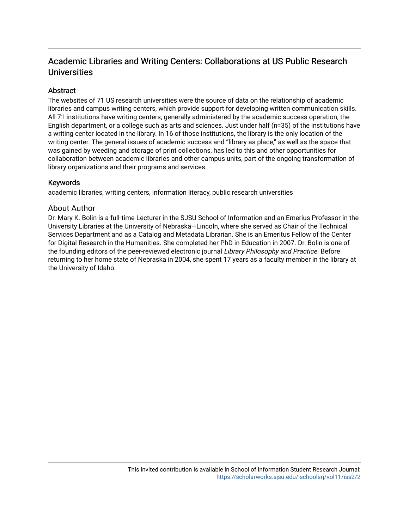# Academic Libraries and Writing Centers: Collaborations at US Public Research **Universities**

# **Abstract**

The websites of 71 US research universities were the source of data on the relationship of academic libraries and campus writing centers, which provide support for developing written communication skills. All 71 institutions have writing centers, generally administered by the academic success operation, the English department, or a college such as arts and sciences. Just under half (n=35) of the institutions have a writing center located in the library. In 16 of those institutions, the library is the only location of the writing center. The general issues of academic success and "library as place," as well as the space that was gained by weeding and storage of print collections, has led to this and other opportunities for collaboration between academic libraries and other campus units, part of the ongoing transformation of library organizations and their programs and services.

# Keywords

academic libraries, writing centers, information literacy, public research universities

# About Author

Dr. Mary K. Bolin is a full-time Lecturer in the SJSU School of Information and an Emerius Professor in the University Libraries at the University of Nebraska—Lincoln, where she served as Chair of the Technical Services Department and as a Catalog and Metadata Librarian. She is an Emeritus Fellow of the Center for Digital Research in the Humanities. She completed her PhD in Education in 2007. Dr. Bolin is one of the founding editors of the peer-reviewed electronic journal Library Philosophy and Practice. Before returning to her home state of Nebraska in 2004, she spent 17 years as a faculty member in the library at the University of Idaho.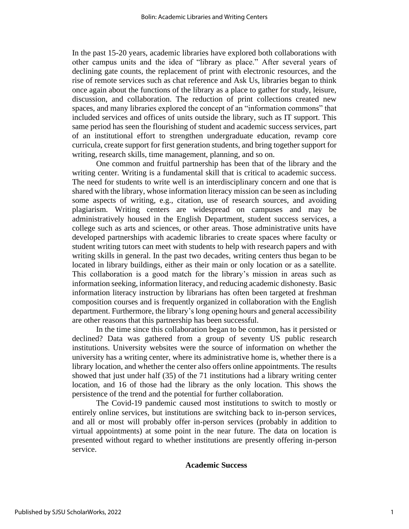In the past 15-20 years, academic libraries have explored both collaborations with other campus units and the idea of "library as place." After several years of declining gate counts, the replacement of print with electronic resources, and the rise of remote services such as chat reference and Ask Us, libraries began to think once again about the functions of the library as a place to gather for study, leisure, discussion, and collaboration. The reduction of print collections created new spaces, and many libraries explored the concept of an "information commons" that included services and offices of units outside the library, such as IT support. This same period has seen the flourishing of student and academic success services, part of an institutional effort to strengthen undergraduate education, revamp core curricula, create support for first generation students, and bring together support for writing, research skills, time management, planning, and so on.

One common and fruitful partnership has been that of the library and the writing center. Writing is a fundamental skill that is critical to academic success. The need for students to write well is an interdisciplinary concern and one that is shared with the library, whose information literacy mission can be seen as including some aspects of writing, e.g., citation, use of research sources, and avoiding plagiarism. Writing centers are widespread on campuses and may be administratively housed in the English Department, student success services, a college such as arts and sciences, or other areas. Those administrative units have developed partnerships with academic libraries to create spaces where faculty or student writing tutors can meet with students to help with research papers and with writing skills in general. In the past two decades, writing centers thus began to be located in library buildings, either as their main or only location or as a satellite. This collaboration is a good match for the library's mission in areas such as information seeking, information literacy, and reducing academic dishonesty. Basic information literacy instruction by librarians has often been targeted at freshman composition courses and is frequently organized in collaboration with the English department. Furthermore, the library's long opening hours and general accessibility are other reasons that this partnership has been successful.

In the time since this collaboration began to be common, has it persisted or declined? Data was gathered from a group of seventy US public research institutions. University websites were the source of information on whether the university has a writing center, where its administrative home is, whether there is a library location, and whether the center also offers online appointments. The results showed that just under half (35) of the 71 institutions had a library writing center location, and 16 of those had the library as the only location. This shows the persistence of the trend and the potential for further collaboration.

The Covid-19 pandemic caused most institutions to switch to mostly or entirely online services, but institutions are switching back to in-person services, and all or most will probably offer in-person services (probably in addition to virtual appointments) at some point in the near future. The data on location is presented without regard to whether institutions are presently offering in-person service.

#### **Academic Success**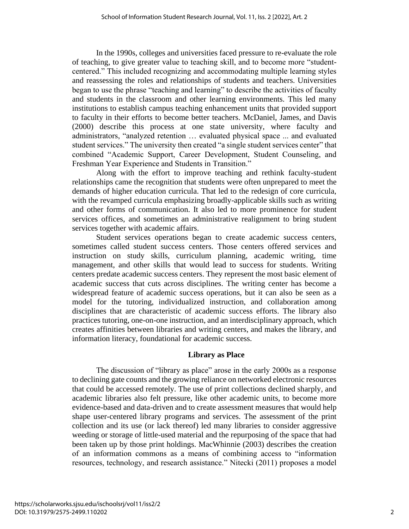In the 1990s, colleges and universities faced pressure to re-evaluate the role of teaching, to give greater value to teaching skill, and to become more "studentcentered." This included recognizing and accommodating multiple learning styles and reassessing the roles and relationships of students and teachers. Universities began to use the phrase "teaching and learning" to describe the activities of faculty and students in the classroom and other learning environments. This led many institutions to establish campus teaching enhancement units that provided support to faculty in their efforts to become better teachers. McDaniel, James, and Davis (2000) describe this process at one state university, where faculty and administrators, "analyzed retention … evaluated physical space ... and evaluated student services." The university then created "a single student services center" that combined "Academic Support, Career Development, Student Counseling, and Freshman Year Experience and Students in Transition."

Along with the effort to improve teaching and rethink faculty-student relationships came the recognition that students were often unprepared to meet the demands of higher education curricula. That led to the redesign of core curricula, with the revamped curricula emphasizing broadly-applicable skills such as writing and other forms of communication. It also led to more prominence for student services offices, and sometimes an administrative realignment to bring student services together with academic affairs.

Student services operations began to create academic success centers, sometimes called student success centers. Those centers offered services and instruction on study skills, curriculum planning, academic writing, time management, and other skills that would lead to success for students. Writing centers predate academic success centers. They represent the most basic element of academic success that cuts across disciplines. The writing center has become a widespread feature of academic success operations, but it can also be seen as a model for the tutoring, individualized instruction, and collaboration among disciplines that are characteristic of academic success efforts. The library also practices tutoring, one-on-one instruction, and an interdisciplinary approach, which creates affinities between libraries and writing centers, and makes the library, and information literacy, foundational for academic success.

# **Library as Place**

The discussion of "library as place" arose in the early 2000s as a response to declining gate counts and the growing reliance on networked electronic resources that could be accessed remotely. The use of print collections declined sharply, and academic libraries also felt pressure, like other academic units, to become more evidence-based and data-driven and to create assessment measures that would help shape user-centered library programs and services. The assessment of the print collection and its use (or lack thereof) led many libraries to consider aggressive weeding or storage of little-used material and the repurposing of the space that had been taken up by those print holdings. MacWhinnie (2003) describes the creation of an information commons as a means of combining access to "information resources, technology, and research assistance." Nitecki (2011) proposes a model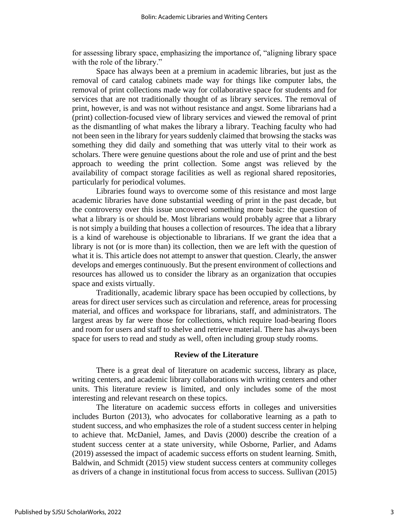for assessing library space, emphasizing the importance of, "aligning library space with the role of the library."

Space has always been at a premium in academic libraries, but just as the removal of card catalog cabinets made way for things like computer labs, the removal of print collections made way for collaborative space for students and for services that are not traditionally thought of as library services. The removal of print, however, is and was not without resistance and angst. Some librarians had a (print) collection-focused view of library services and viewed the removal of print as the dismantling of what makes the library a library. Teaching faculty who had not been seen in the library for years suddenly claimed that browsing the stacks was something they did daily and something that was utterly vital to their work as scholars. There were genuine questions about the role and use of print and the best approach to weeding the print collection. Some angst was relieved by the availability of compact storage facilities as well as regional shared repositories, particularly for periodical volumes.

Libraries found ways to overcome some of this resistance and most large academic libraries have done substantial weeding of print in the past decade, but the controversy over this issue uncovered something more basic: the question of what a library is or should be. Most librarians would probably agree that a library is not simply a building that houses a collection of resources. The idea that a library is a kind of warehouse is objectionable to librarians. If we grant the idea that a library is not (or is more than) its collection, then we are left with the question of what it is. This article does not attempt to answer that question. Clearly, the answer develops and emerges continuously. But the present environment of collections and resources has allowed us to consider the library as an organization that occupies space and exists virtually.

Traditionally, academic library space has been occupied by collections, by areas for direct user services such as circulation and reference, areas for processing material, and offices and workspace for librarians, staff, and administrators. The largest areas by far were those for collections, which require load-bearing floors and room for users and staff to shelve and retrieve material. There has always been space for users to read and study as well, often including group study rooms.

### **Review of the Literature**

There is a great deal of literature on academic success, library as place, writing centers, and academic library collaborations with writing centers and other units. This literature review is limited, and only includes some of the most interesting and relevant research on these topics.

The literature on academic success efforts in colleges and universities includes Burton (2013), who advocates for collaborative learning as a path to student success, and who emphasizes the role of a student success center in helping to achieve that. McDaniel, James, and Davis (2000) describe the creation of a student success center at a state university, while Osborne, Parlier, and Adams (2019) assessed the impact of academic success efforts on student learning. Smith, Baldwin, and Schmidt (2015) view student success centers at community colleges as drivers of a change in institutional focus from access to success. Sullivan (2015)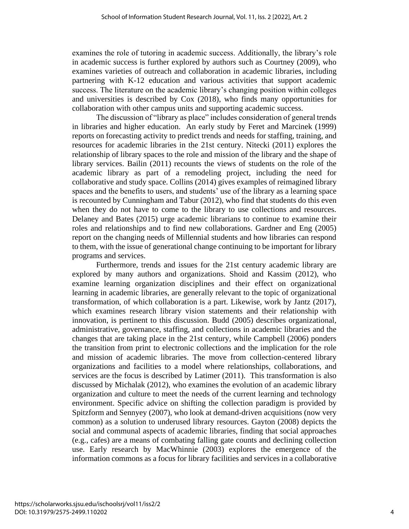examines the role of tutoring in academic success. Additionally, the library's role in academic success is further explored by authors such as Courtney (2009), who examines varieties of outreach and collaboration in academic libraries, including partnering with K-12 education and various activities that support academic success. The literature on the academic library's changing position within colleges and universities is described by Cox (2018), who finds many opportunities for collaboration with other campus units and supporting academic success.

The discussion of "library as place" includes consideration of general trends in libraries and higher education. An early study by Feret and Marcinek (1999) reports on forecasting activity to predict trends and needs for staffing, training, and resources for academic libraries in the 21st century. Nitecki (2011) explores the relationship of library spaces to the role and mission of the library and the shape of library services. Bailin (2011) recounts the views of students on the role of the academic library as part of a remodeling project, including the need for collaborative and study space. Collins (2014) gives examples of reimagined library spaces and the benefits to users, and students' use of the library as a learning space is recounted by Cunningham and Tabur (2012), who find that students do this even when they do not have to come to the library to use collections and resources. Delaney and Bates (2015) urge academic librarians to continue to examine their roles and relationships and to find new collaborations. Gardner and Eng (2005) report on the changing needs of Millennial students and how libraries can respond to them, with the issue of generational change continuing to be important for library programs and services.

Furthermore, trends and issues for the 21st century academic library are explored by many authors and organizations. Shoid and Kassim (2012), who examine learning organization disciplines and their effect on organizational learning in academic libraries, are generally relevant to the topic of organizational transformation, of which collaboration is a part. Likewise, work by Jantz (2017), which examines research library vision statements and their relationship with innovation, is pertinent to this discussion. Budd (2005) describes organizational, administrative, governance, staffing, and collections in academic libraries and the changes that are taking place in the 21st century, while Campbell (2006) ponders the transition from print to electronic collections and the implication for the role and mission of academic libraries. The move from collection-centered library organizations and facilities to a model where relationships, collaborations, and services are the focus is described by Latimer (2011). This transformation is also discussed by Michalak (2012), who examines the evolution of an academic library organization and culture to meet the needs of the current learning and technology environment. Specific advice on shifting the collection paradigm is provided by Spitzform and Sennyey (2007), who look at demand-driven acquisitions (now very common) as a solution to underused library resources. Gayton (2008) depicts the social and communal aspects of academic libraries, finding that social approaches (e.g., cafes) are a means of combating falling gate counts and declining collection use. Early research by MacWhinnie (2003) explores the emergence of the information commons as a focus for library facilities and services in a collaborative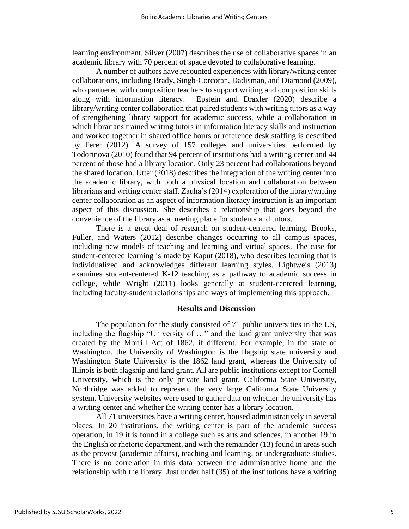learning environment. Silver (2007) describes the use of collaborative spaces in an academic library with 70 percent of space devoted to collaborative learning.

A number of authors have recounted experiences with library/writing center collaborations, including Brady, Singh-Corcoran, Dadisman, and Diamond (2009), who partnered with composition teachers to support writing and composition skills along with information literacy. Epstein and Draxler (2020) describe a library/writing center collaboration that paired students with writing tutors as a way of strengthening library support for academic success, while a collaboration in which librarians trained writing tutors in information literacy skills and instruction and worked together in shared office hours or reference desk staffing is described by Ferer (2012). A survey of 157 colleges and universities performed by Todorinova (2010) found that 94 percent of institutions had a writing center and 44 percent of those had a library location. Only 23 percent had collaborations beyond the shared location. Utter (2018) describes the integration of the writing center into the academic library, with both a physical location and collaboration between librarians and writing center staff. Zauha's (2014) exploration of the library/writing center collaboration as an aspect of information literacy instruction is an important aspect of this discussion. She describes a relationship that goes beyond the convenience of the library as a meeting place for students and tutors.

There is a great deal of research on student-centered learning. Brooks, Fuller, and Waters (2012) describe changes occurring to all campus spaces, including new models of teaching and learning and virtual spaces. The case for student-centered learning is made by Kaput (2018), who describes learning that is individualized and acknowledges different learning styles. Lightweis (2013) examines student-centered K-12 teaching as a pathway to academic success in college, while Wright (2011) looks generally at student-centered learning, including faculty-student relationships and ways of implementing this approach.

# **Results and Discussion**

The population for the study consisted of 71 public universities in the US, including the flagship "University of …" and the land grant university that was created by the Morrill Act of 1862, if different. For example, in the state of Washington, the University of Washington is the flagship state university and Washington State University is the 1862 land grant, whereas the University of Illinois is both flagship and land grant. All are public institutions except for Cornell University, which is the only private land grant. California State University, Northridge was added to represent the very large California State University system. University websites were used to gather data on whether the university has a writing center and whether the writing center has a library location.

All 71 universities have a writing center, housed administratively in several places. In 20 institutions, the writing center is part of the academic success operation, in 19 it is found in a college such as arts and sciences, in another 19 in the English or rhetoric department, and with the remainder (13) found in areas such as the provost (academic affairs), teaching and learning, or undergraduate studies. There is no correlation in this data between the administrative home and the relationship with the library. Just under half (35) of the institutions have a writing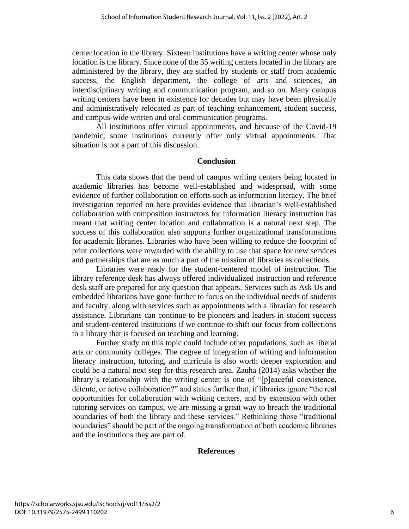center location in the library. Sixteen institutions have a writing center whose only location is the library. Since none of the 35 writing centers located in the library are administered by the library, they are staffed by students or staff from academic success, the English department, the college of arts and sciences, an interdisciplinary writing and communication program, and so on. Many campus writing centers have been in existence for decades but may have been physically and administratively relocated as part of teaching enhancement, student success, and campus-wide written and oral communication programs.

All institutions offer virtual appointments, and because of the Covid-19 pandemic, some institutions currently offer only virtual appointments. That situation is not a part of this discussion.

## **Conclusion**

This data shows that the trend of campus writing centers being located in academic libraries has become well-established and widespread, with some evidence of further collaboration on efforts such as information literacy. The brief investigation reported on here provides evidence that librarian's well-established collaboration with composition instructors for information literacy instruction has meant that writing center location and collaboration is a natural next step. The success of this collaboration also supports further organizational transformations for academic libraries. Libraries who have been willing to reduce the footprint of print collections were rewarded with the ability to use that space for new services and partnerships that are as much a part of the mission of libraries as collections.

Libraries were ready for the student-centered model of instruction. The library reference desk has always offered individualized instruction and reference desk staff are prepared for any question that appears. Services such as Ask Us and embedded librarians have gone further to focus on the individual needs of students and faculty, along with services such as appointments with a librarian for research assistance. Librarians can continue to be pioneers and leaders in student success and student-centered institutions if we continue to shift our focus from collections to a library that is focused on teaching and learning.

Further study on this topic could include other populations, such as liberal arts or community colleges. The degree of integration of writing and information literacy instruction, tutoring, and curricula is also worth deeper exploration and could be a natural next step for this research area. Zauha (2014) asks whether the library's relationship with the writing center is one of "[p]eaceful coexistence, détente, or active collaboration?" and states further that, if libraries ignore "the real opportunities for collaboration with writing centers, and by extension with other tutoring services on campus, we are missing a great way to breach the traditional boundaries of both the library and these services." Rethinking those "traditional boundaries" should be part of the ongoing transformation of both academic libraries and the institutions they are part of.

# **References**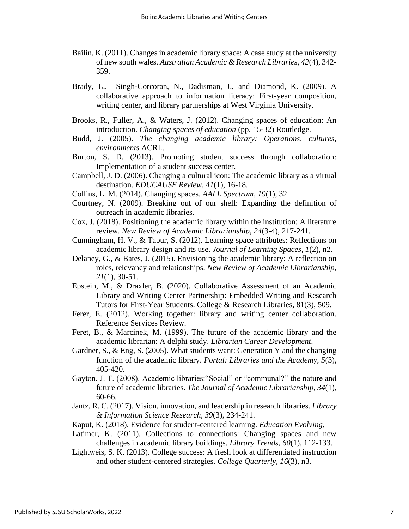- Bailin, K. (2011). Changes in academic library space: A case study at the university of new south wales. *Australian Academic & Research Libraries, 42*(4), 342- 359.
- Brady, L., Singh-Corcoran, N., Dadisman, J., and Diamond, K. (2009). A collaborative approach to information literacy: First-year composition, writing center, and library partnerships at West Virginia University.
- Brooks, R., Fuller, A., & Waters, J. (2012). Changing spaces of education: An introduction. *Changing spaces of education* (pp. 15-32) Routledge.
- Budd, J. (2005). *The changing academic library: Operations, cultures, environments* ACRL.
- Burton, S. D. (2013). Promoting student success through collaboration: Implementation of a student success center.
- Campbell, J. D. (2006). Changing a cultural icon: The academic library as a virtual destination. *EDUCAUSE Review, 41*(1), 16-18.
- Collins, L. M. (2014). Changing spaces. *AALL Spectrum, 19*(1), 32.
- Courtney, N. (2009). Breaking out of our shell: Expanding the definition of outreach in academic libraries.
- Cox, J. (2018). Positioning the academic library within the institution: A literature review. *New Review of Academic Librarianship, 24*(3-4), 217-241.
- Cunningham, H. V., & Tabur, S. (2012). Learning space attributes: Reflections on academic library design and its use. *Journal of Learning Spaces, 1*(2), n2.
- Delaney, G., & Bates, J. (2015). Envisioning the academic library: A reflection on roles, relevancy and relationships. *New Review of Academic Librarianship, 21*(1), 30-51.
- Epstein, M., & Draxler, B. (2020). Collaborative Assessment of an Academic Library and Writing Center Partnership: Embedded Writing and Research Tutors for First-Year Students. College & Research Libraries, 81(3), 509.
- Ferer, E. (2012). Working together: library and writing center collaboration. Reference Services Review.
- Feret, B., & Marcinek, M. (1999). The future of the academic library and the academic librarian: A delphi study. *Librarian Career Development*.
- Gardner, S., & Eng, S. (2005). What students want: Generation Y and the changing function of the academic library. *Portal: Libraries and the Academy, 5*(3), 405-420.
- Gayton, J. T. (2008). Academic libraries:"Social" or "communal?" the nature and future of academic libraries. *The Journal of Academic Librarianship, 34*(1), 60-66.
- Jantz, R. C. (2017). Vision, innovation, and leadership in research libraries. *Library & Information Science Research, 39*(3), 234-241.
- Kaput, K. (2018). Evidence for student-centered learning. *Education Evolving,*
- Latimer, K. (2011). Collections to connections: Changing spaces and new challenges in academic library buildings. *Library Trends, 60*(1), 112-133.
- Lightweis, S. K. (2013). College success: A fresh look at differentiated instruction and other student-centered strategies. *College Quarterly, 16*(3), n3.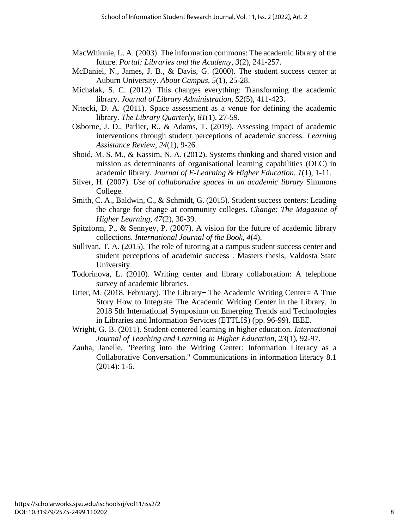- MacWhinnie, L. A. (2003). The information commons: The academic library of the future. *Portal: Libraries and the Academy, 3*(2), 241-257.
- McDaniel, N., James, J. B., & Davis, G. (2000). The student success center at Auburn University. *About Campus, 5*(1), 25-28.
- Michalak, S. C. (2012). This changes everything: Transforming the academic library. *Journal of Library Administration, 52*(5), 411-423.
- Nitecki, D. A. (2011). Space assessment as a venue for defining the academic library. *The Library Quarterly, 81*(1), 27-59.
- Osborne, J. D., Parlier, R., & Adams, T. (2019). Assessing impact of academic interventions through student perceptions of academic success. *Learning Assistance Review, 24*(1), 9-26.
- Shoid, M. S. M., & Kassim, N. A. (2012). Systems thinking and shared vision and mission as determinants of organisational learning capabilities (OLC) in academic library. *Journal of E-Learning & Higher Education, 1*(1), 1-11.
- Silver, H. (2007). *Use of collaborative spaces in an academic library* Simmons College.
- Smith, C. A., Baldwin, C., & Schmidt, G. (2015). Student success centers: Leading the charge for change at community colleges. *Change: The Magazine of Higher Learning, 47*(2), 30-39.
- Spitzform, P., & Sennyey, P. (2007). A vision for the future of academic library collections. *International Journal of the Book, 4*(4).
- Sullivan, T. A. (2015). The role of tutoring at a campus student success center and student perceptions of academic success . Masters thesis, Valdosta State University.
- Todorinova, L. (2010). Writing center and library collaboration: A telephone survey of academic libraries.
- Utter, M. (2018, February). The Library+ The Academic Writing Center= A True Story How to Integrate The Academic Writing Center in the Library. In 2018 5th International Symposium on Emerging Trends and Technologies in Libraries and Information Services (ETTLIS) (pp. 96-99). IEEE.
- Wright, G. B. (2011). Student-centered learning in higher education. *International Journal of Teaching and Learning in Higher Education, 23*(1), 92-97.
- Zauha, Janelle. "Peering into the Writing Center: Information Literacy as a Collaborative Conversation." Communications in information literacy 8.1 (2014): 1-6.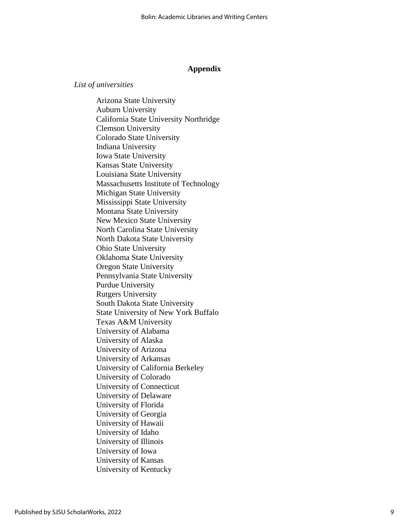#### **Appendix**

### *List of universities*

Arizona State University Auburn University California State University Northridge Clemson University Colorado State University Indiana University Iowa State University Kansas State University Louisiana State University Massachusetts Institute of Technology Michigan State University Mississippi State University Montana State University New Mexico State University North Carolina State University North Dakota State University Ohio State University Oklahoma State University Oregon State University Pennsylvania State University Purdue University Rutgers University South Dakota State University State University of New York Buffalo Texas A&M University University of Alabama University of Alaska University of Arizona University of Arkansas University of California Berkeley University of Colorado University of Connecticut University of Delaware University of Florida University of Georgia University of Hawaii University of Idaho University of Illinois University of Iowa University of Kansas University of Kentucky